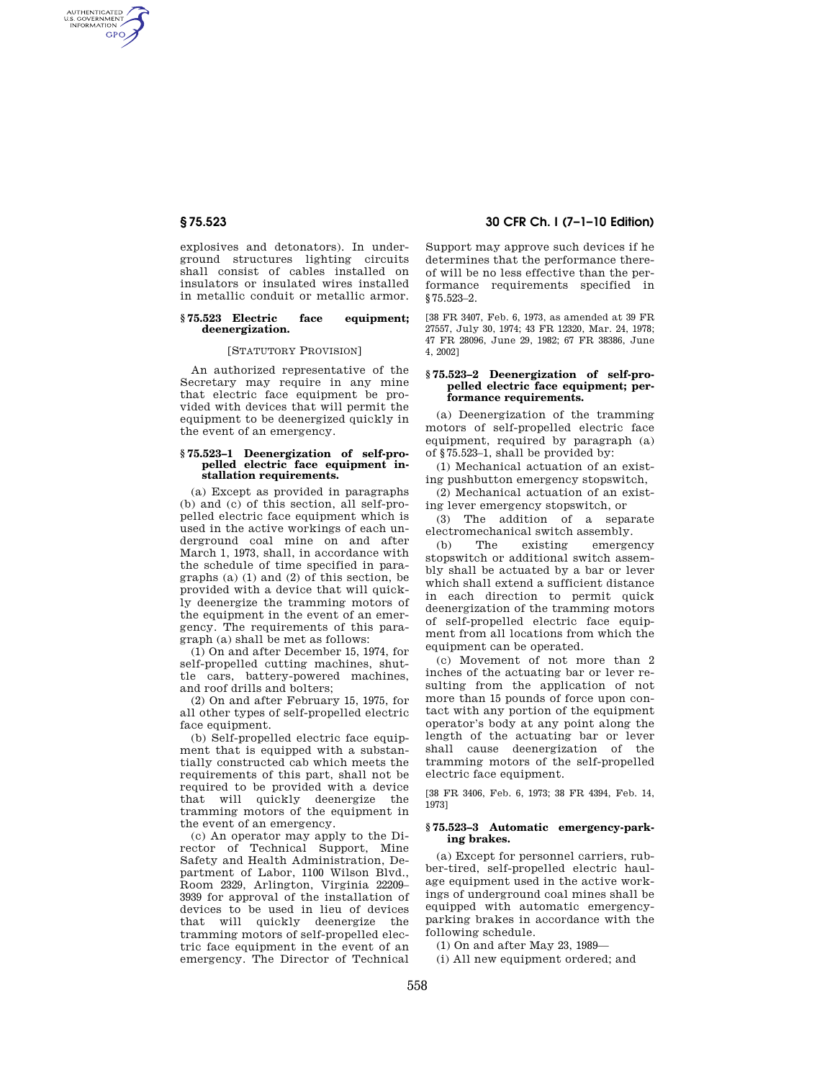AUTHENTICATED<br>U.S. GOVERNMENT<br>INFORMATION **GPO** 

> explosives and detonators). In underground structures lighting circuits shall consist of cables installed on insulators or insulated wires installed in metallic conduit or metallic armor.

### **§ 75.523 Electric face equipment; deenergization.**

### [STATUTORY PROVISION]

An authorized representative of the Secretary may require in any mine that electric face equipment be provided with devices that will permit the equipment to be deenergized quickly in the event of an emergency.

#### **§ 75.523–1 Deenergization of self-propelled electric face equipment installation requirements.**

(a) Except as provided in paragraphs (b) and (c) of this section, all self-propelled electric face equipment which is used in the active workings of each underground coal mine on and after March 1, 1973, shall, in accordance with the schedule of time specified in paragraphs (a) (1) and (2) of this section, be provided with a device that will quickly deenergize the tramming motors of the equipment in the event of an emergency. The requirements of this paragraph (a) shall be met as follows:

(1) On and after December 15, 1974, for self-propelled cutting machines, shuttle cars, battery-powered machines, and roof drills and bolters;

(2) On and after February 15, 1975, for all other types of self-propelled electric face equipment.

(b) Self-propelled electric face equipment that is equipped with a substantially constructed cab which meets the requirements of this part, shall not be required to be provided with a device that will quickly deenergize the tramming motors of the equipment in the event of an emergency.

(c) An operator may apply to the Director of Technical Support, Mine Safety and Health Administration, Department of Labor, 1100 Wilson Blvd., Room 2329, Arlington, Virginia 22209– 3939 for approval of the installation of devices to be used in lieu of devices that will quickly deenergize the tramming motors of self-propelled electric face equipment in the event of an emergency. The Director of Technical

# **§ 75.523 30 CFR Ch. I (7–1–10 Edition)**

Support may approve such devices if he determines that the performance thereof will be no less effective than the performance requirements specified in §75.523–2.

[38 FR 3407, Feb. 6, 1973, as amended at 39 FR 27557, July 30, 1974; 43 FR 12320, Mar. 24, 1978; 47 FR 28096, June 29, 1982; 67 FR 38386, June 4, 2002]

#### **§ 75.523–2 Deenergization of self-propelled electric face equipment; performance requirements.**

(a) Deenergization of the tramming motors of self-propelled electric face equipment, required by paragraph (a) of §75.523–1, shall be provided by:

(1) Mechanical actuation of an existing pushbutton emergency stopswitch,

(2) Mechanical actuation of an existing lever emergency stopswitch, or

(3) The addition of a separate electromechanical switch assembly.

(b) The existing emergency stopswitch or additional switch assembly shall be actuated by a bar or lever which shall extend a sufficient distance in each direction to permit quick deenergization of the tramming motors of self-propelled electric face equipment from all locations from which the equipment can be operated.

(c) Movement of not more than 2 inches of the actuating bar or lever resulting from the application of not more than 15 pounds of force upon contact with any portion of the equipment operator's body at any point along the length of the actuating bar or lever shall cause deenergization of the tramming motors of the self-propelled electric face equipment.

[38 FR 3406, Feb. 6, 1973; 38 FR 4394, Feb. 14, 1973]

### **§ 75.523–3 Automatic emergency-parking brakes.**

(a) Except for personnel carriers, rubber-tired, self-propelled electric haulage equipment used in the active workings of underground coal mines shall be equipped with automatic emergencyparking brakes in accordance with the following schedule.

(1) On and after May 23, 1989—

(i) All new equipment ordered; and